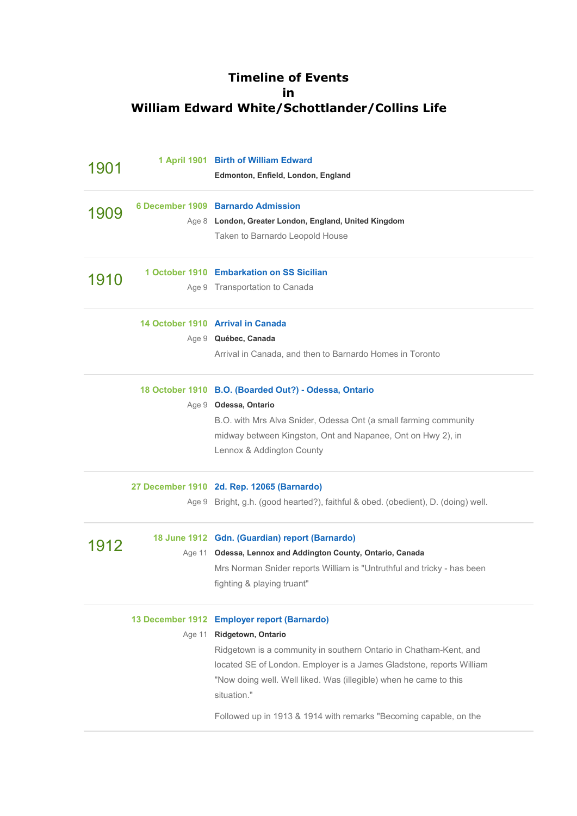## **Timeline of Events in William Edward White/Schottlander/Collins Life**

| 1901 |        | 1 April 1901 Birth of William Edward<br>Edmonton, Enfield, London, England        |
|------|--------|-----------------------------------------------------------------------------------|
| 1909 |        | 6 December 1909 Barnardo Admission                                                |
|      |        | Age 8 London, Greater London, England, United Kingdom                             |
|      |        | Taken to Barnardo Leopold House                                                   |
| 1910 |        | 1 October 1910 Embarkation on SS Sicilian                                         |
|      |        | Age 9 Transportation to Canada                                                    |
|      |        | 14 October 1910 Arrival in Canada                                                 |
|      |        | Age 9 Québec, Canada                                                              |
|      |        | Arrival in Canada, and then to Barnardo Homes in Toronto                          |
|      |        | 18 October 1910 B.O. (Boarded Out?) - Odessa, Ontario                             |
|      |        | Age 9 Odessa, Ontario                                                             |
|      |        | B.O. with Mrs Alva Snider, Odessa Ont (a small farming community                  |
|      |        | midway between Kingston, Ont and Napanee, Ont on Hwy 2), in                       |
|      |        | Lennox & Addington County                                                         |
|      |        | 27 December 1910 2d. Rep. 12065 (Barnardo)                                        |
|      |        | Age 9 Bright, g.h. (good hearted?), faithful & obed. (obedient), D. (doing) well. |
|      |        | 18 June 1912 Gdn. (Guardian) report (Barnardo)                                    |
| 1912 |        | Age 11 Odessa, Lennox and Addington County, Ontario, Canada                       |
|      |        | Mrs Norman Snider reports William is "Untruthful and tricky - has been            |
|      |        | fighting & playing truant"                                                        |
|      |        | 13 December 1912 Employer report (Barnardo)                                       |
|      | Age 11 | Ridgetown, Ontario                                                                |
|      |        | Ridgetown is a community in southern Ontario in Chatham-Kent, and                 |
|      |        | located SE of London. Employer is a James Gladstone, reports William              |
|      |        | "Now doing well. Well liked. Was (illegible) when he came to this<br>situation."  |
|      |        | Followed up in 1913 & 1914 with remarks "Becoming capable, on the                 |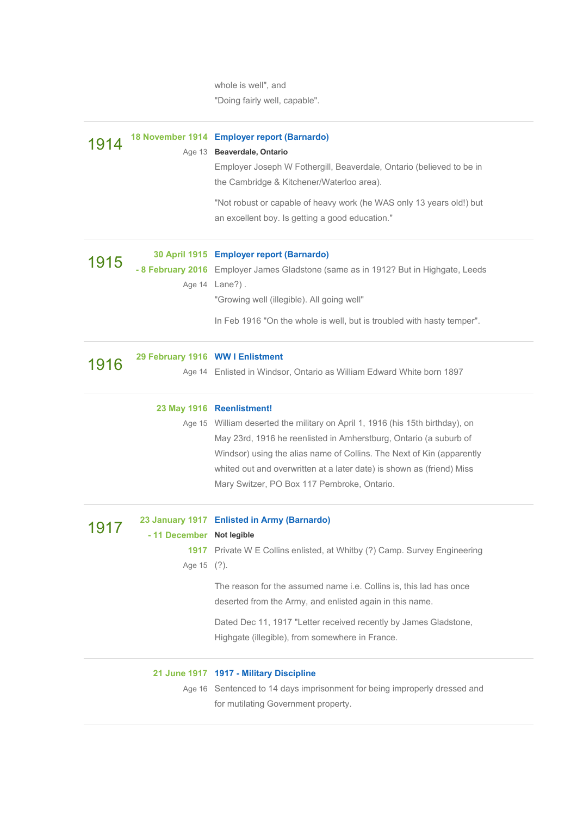whole is well", and "Doing fairly well, capable".

| 1914 |                                          | 18 November 1914 Employer report (Barnardo)<br>Age 13 Beaverdale, Ontario<br>Employer Joseph W Fothergill, Beaverdale, Ontario (believed to be in<br>the Cambridge & Kitchener/Waterloo area).<br>"Not robust or capable of heavy work (he WAS only 13 years old!) but<br>an excellent boy. Is getting a good education."                                                                |
|------|------------------------------------------|------------------------------------------------------------------------------------------------------------------------------------------------------------------------------------------------------------------------------------------------------------------------------------------------------------------------------------------------------------------------------------------|
| 1915 |                                          | 30 April 1915 Employer report (Barnardo)<br>- 8 February 2016 Employer James Gladstone (same as in 1912? But in Highgate, Leeds<br>Age 14 Lane?).<br>"Growing well (illegible). All going well"<br>In Feb 1916 "On the whole is well, but is troubled with hasty temper".                                                                                                                |
| 1916 | 29 February 1916 WW I Enlistment         | Age 14 Enlisted in Windsor, Ontario as William Edward White born 1897                                                                                                                                                                                                                                                                                                                    |
|      |                                          | 23 May 1916 Reenlistment!<br>Age 15 William deserted the military on April 1, 1916 (his 15th birthday), on<br>May 23rd, 1916 he reenlisted in Amherstburg, Ontario (a suburb of<br>Windsor) using the alias name of Collins. The Next of Kin (apparently<br>whited out and overwritten at a later date) is shown as (friend) Miss<br>Mary Switzer, PO Box 117 Pembroke, Ontario.         |
| 1917 | - 11 December Not legible<br>Age 15 (?). | 23 January 1917 Enlisted in Army (Barnardo)<br><b>1917</b> Private W E Collins enlisted, at Whitby (?) Camp. Survey Engineering<br>The reason for the assumed name i.e. Collins is, this lad has once<br>deserted from the Army, and enlisted again in this name.<br>Dated Dec 11, 1917 "Letter received recently by James Gladstone,<br>Highgate (illegible), from somewhere in France. |
|      |                                          | 21 June 1917 1917 - Military Discipline<br>Age 16 Sentenced to 14 days imprisonment for being improperly dressed and<br>for mutilating Government property.                                                                                                                                                                                                                              |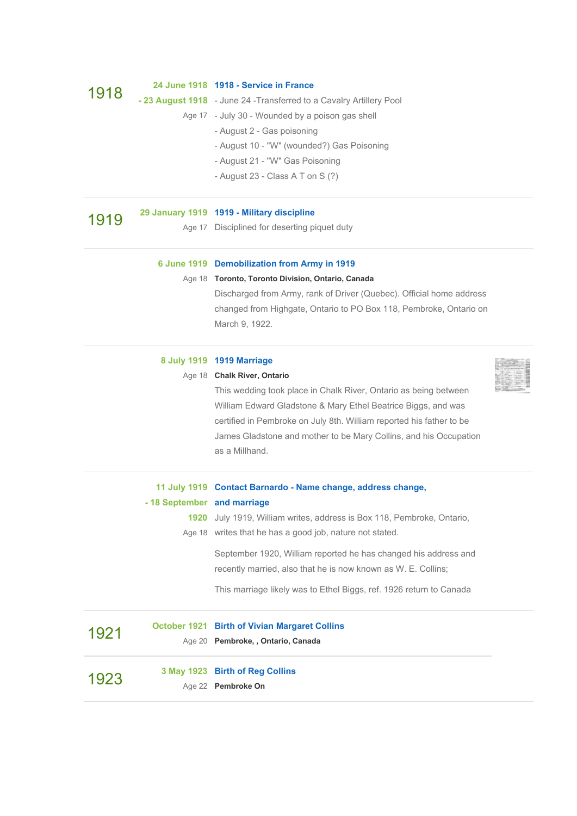|      |                             | Age 22 Pembroke On                                                                                                                        |  |
|------|-----------------------------|-------------------------------------------------------------------------------------------------------------------------------------------|--|
| 1923 |                             | 3 May 1923 Birth of Reg Collins                                                                                                           |  |
| 1921 |                             | <b>October 1921 Birth of Vivian Margaret Collins</b><br>Age 20 Pembroke, , Ontario, Canada                                                |  |
|      |                             | This marriage likely was to Ethel Biggs, ref. 1926 return to Canada                                                                       |  |
|      |                             | September 1920, William reported he has changed his address and<br>recently married, also that he is now known as W. E. Collins;          |  |
|      |                             |                                                                                                                                           |  |
|      |                             | 1920 July 1919, William writes, address is Box 118, Pembroke, Ontario,<br>Age 18 writes that he has a good job, nature not stated.        |  |
|      | - 18 September and marriage |                                                                                                                                           |  |
|      |                             | 11 July 1919 Contact Barnardo - Name change, address change,                                                                              |  |
|      |                             | as a Millhand.                                                                                                                            |  |
|      |                             | certified in Pembroke on July 8th. William reported his father to be<br>James Gladstone and mother to be Mary Collins, and his Occupation |  |
|      |                             | William Edward Gladstone & Mary Ethel Beatrice Biggs, and was                                                                             |  |
|      |                             | This wedding took place in Chalk River, Ontario as being between                                                                          |  |
|      |                             | Age 18 Chalk River, Ontario                                                                                                               |  |
|      |                             | 8 July 1919 1919 Marriage                                                                                                                 |  |
|      |                             | March 9, 1922.                                                                                                                            |  |
|      |                             | changed from Highgate, Ontario to PO Box 118, Pembroke, Ontario on                                                                        |  |
|      |                             | Discharged from Army, rank of Driver (Quebec). Official home address                                                                      |  |
|      |                             | Age 18 Toronto, Toronto Division, Ontario, Canada                                                                                         |  |
|      |                             | 6 June 1919 Demobilization from Army in 1919                                                                                              |  |
| 1919 |                             | Age 17 Disciplined for deserting piquet duty                                                                                              |  |
|      |                             | 29 January 1919 1919 - Military discipline                                                                                                |  |
|      |                             | - August 23 - Class A T on S (?)                                                                                                          |  |
|      |                             | - August 21 - "W" Gas Poisoning                                                                                                           |  |
|      |                             | - August 10 - "W" (wounded?) Gas Poisoning                                                                                                |  |
|      |                             | - August 2 - Gas poisoning                                                                                                                |  |
|      |                             | - 23 August 1918 - June 24 - Transferred to a Cavalry Artillery Pool<br>Age 17 - July 30 - Wounded by a poison gas shell                  |  |
| 1918 |                             | 24 June 1918 1918 - Service in France                                                                                                     |  |
|      |                             |                                                                                                                                           |  |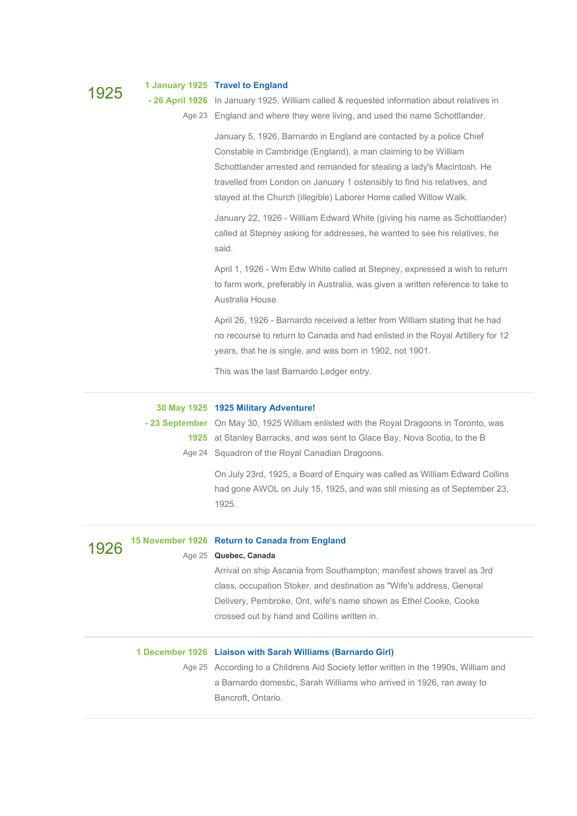1925 **<sup>1</sup> January <sup>1925</sup> Travel to [England](https://www.geni.com/profile/6000000013515493394/events/6000000041070806338) - 26 April 1926** In January 1925, William called & requested information about relatives in Age 23 England and where they were living, and used the name Schottlander.

> January 5, 1926, Barnardo in England are contacted by a police Chief Constable in Cambridge (England), a man claiming to be William Schottlander arrested and remanded for stealing a lady's Macintosh. He travelled from London on January 1 ostensibly to find his relatives, and stayed at the Church (illegible) Laborer Home called Willow Walk.

January 22, 1926 - William Edward White (giving his name as Schottlander) called at Stepney asking for addresses, he wanted to see his relatives, he said.

April 1, 1926 - Wm Edw White called at Stepney, expressed a wish to return to farm work, preferably in Australia, was given a written reference to take to Australia House.

April 26, 1926 - Barnardo received a letter from William stating that he had no recourse to return to Canada and had enlisted in the Royal Artillery for 12 years, that he is single, and was born in 1902, not 1901.

This was the last Barnardo Ledger entry.

## **30 May 1925 1925 Military [Adventure!](https://www.geni.com/profile/6000000013515493394/events/6000000041568474558)**

**- 23 September** On May 30, 1925 William enlisted with the Royal Dragoons in Toronto, was **1925** at Stanley Barracks, and was sent to Glace Bay, Nova Scotia, to the B Age 24 Squadron of the Royal Canadian Dragoons.

> On July 23rd, 1925, a Board of Enquiry was called as William Edward Collins had gone AWOL on July 15, 1925, and was still missing as of September 23, 1925.

## 1926 **<sup>15</sup> November <sup>1926</sup> Return to Canada from [England](https://www.geni.com/profile/6000000013515493394/events/6000000041060523108)**

### Age 25 **Quebec, Canada**

Arrival on ship Ascania from Southampton; manifest shows travel as 3rd class, occupation Stoker, and destination as "Wife's address, General Delivery, Pembroke, Ont, wife's name shown as Ethel Cooke, Cooke crossed out by hand and Collins written in.

### **1 December 1926 Liaison with Sarah Williams [\(Barnardo](https://www.geni.com/profile/6000000013515493394/events/6000000041685341996) Girl)**

Age 25 According to a Childrens Aid Society letter written in the 1990s, William and a Barnardo domestic, Sarah Williams who arrived in 1926, ran away to Bancroft, Ontario.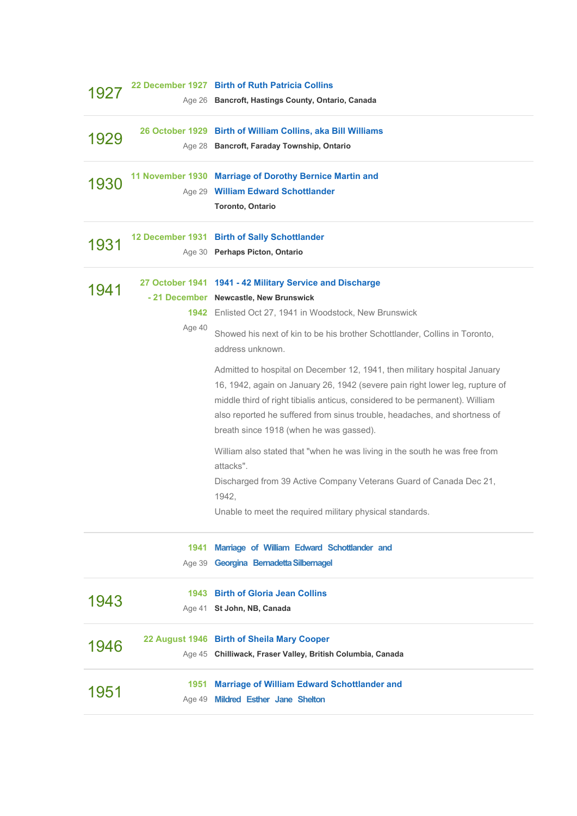| 192  |        | 22 December 1927 Birth of Ruth Patricia Collins<br>Age 26 Bancroft, Hastings County, Ontario, Canada                                                                                                                                                                                                                                                              |
|------|--------|-------------------------------------------------------------------------------------------------------------------------------------------------------------------------------------------------------------------------------------------------------------------------------------------------------------------------------------------------------------------|
| 1929 |        | 26 October 1929 Birth of William Collins, aka Bill Williams<br>Age 28 Bancroft, Faraday Township, Ontario                                                                                                                                                                                                                                                         |
| 1930 |        | 11 November 1930 Marriage of Dorothy Bernice Martin and<br>Age 29 William Edward Schottlander<br>Toronto, Ontario                                                                                                                                                                                                                                                 |
| 1931 |        | 12 December 1931 Birth of Sally Schottlander<br>Age 30 Perhaps Picton, Ontario                                                                                                                                                                                                                                                                                    |
| 1941 | Age 40 | 27 October 1941 1941 - 42 Military Service and Discharge<br>- 21 December Newcastle, New Brunswick<br>1942 Enlisted Oct 27, 1941 in Woodstock, New Brunswick<br>Showed his next of kin to be his brother Schottlander, Collins in Toronto,<br>address unknown.                                                                                                    |
|      |        | Admitted to hospital on December 12, 1941, then military hospital January<br>16, 1942, again on January 26, 1942 (severe pain right lower leg, rupture of<br>middle third of right tibialis anticus, considered to be permanent). William<br>also reported he suffered from sinus trouble, headaches, and shortness of<br>breath since 1918 (when he was gassed). |
|      |        | William also stated that "when he was living in the south he was free from<br>attacks".<br>Discharged from 39 Active Company Veterans Guard of Canada Dec 21,<br>1942,<br>Unable to meet the required military physical standards.                                                                                                                                |
|      | 1941   | Marriage of William Edward Schottlander and<br>Age 39 Georgina Bernadetta Silbernagel                                                                                                                                                                                                                                                                             |
| 1943 | 1943   | <b>Birth of Gloria Jean Collins</b><br>Age 41 St John, NB, Canada                                                                                                                                                                                                                                                                                                 |
| 1946 |        | 22 August 1946 Birth of Sheila Mary Cooper<br>Age 45 Chilliwack, Fraser Valley, British Columbia, Canada                                                                                                                                                                                                                                                          |
| 1951 | 1951   | <b>Marriage of William Edward Schottlander and</b><br>Age 49 Mildred Esther Jane Shelton                                                                                                                                                                                                                                                                          |